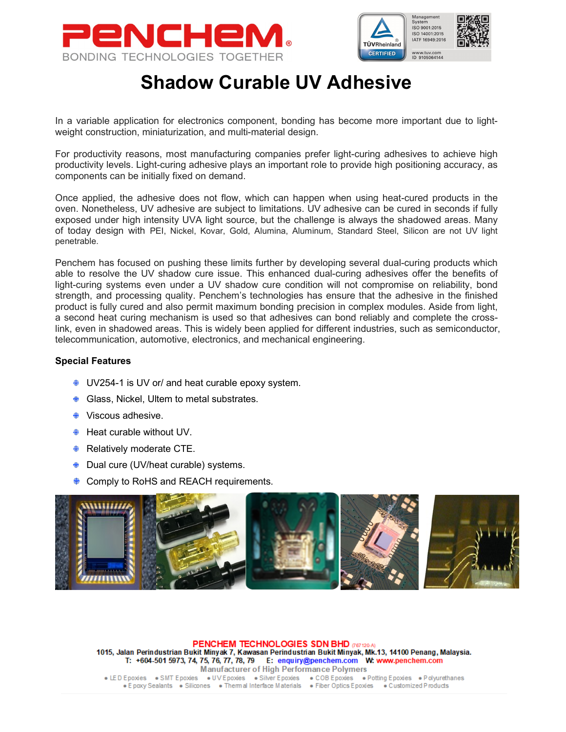



## Shadow Curable UV Adhesive

In a variable application for electronics component, bonding has become more important due to lightweight construction, miniaturization, and multi-material design.

For productivity reasons, most manufacturing companies prefer light-curing adhesives to achieve high productivity levels. Light-curing adhesive plays an important role to provide high positioning accuracy, as components can be initially fixed on demand.

Once applied, the adhesive does not flow, which can happen when using heat-cured products in the oven. Nonetheless, UV adhesive are subject to limitations. UV adhesive can be cured in seconds if fully exposed under high intensity UVA light source, but the challenge is always the shadowed areas. Many of today design with PEI, Nickel, Kovar, Gold, Alumina, Aluminum, Standard Steel, Silicon are not UV light penetrable.

Penchem has focused on pushing these limits further by developing several dual-curing products which able to resolve the UV shadow cure issue. This enhanced dual-curing adhesives offer the benefits of light-curing systems even under a UV shadow cure condition will not compromise on reliability, bond strength, and processing quality. Penchem's technologies has ensure that the adhesive in the finished product is fully cured and also permit maximum bonding precision in complex modules. Aside from light, a second heat curing mechanism is used so that adhesives can bond reliably and complete the crosslink, even in shadowed areas. This is widely been applied for different industries, such as semiconductor, telecommunication, automotive, electronics, and mechanical engineering.

## Special Features

- UV254-1 is UV or/ and heat curable epoxy system.
- **♦ Glass, Nickel, Ultem to metal substrates.**
- $}$  Viscous adhesive.
- $\triangleq$  Heat curable without UV.
- **Relatively moderate CTE.**
- Dual cure (UV/heat curable) systems.
- **♦ Comply to RoHS and REACH requirements.**



PENCHEM TECHNOLOGIES SDN BHD (767120-A) 1015, Jalan Perindustrian Bukit Minyak 7, Kawasan Perindustrian Bukit Minyak, Mk.13, 14100 Penang, Malaysia. T: +604-501 5973, 74, 75, 76, 77, 78, 79 E: enquiry@penchem.com W: www.penchem.com **Manufacturer of High Performance Polymers** . LED Epoxies . SMT Epoxies . UV Epoxies . Silver Epoxies . COB Epoxies . Potting Epoxies . Polyurethanes · E poxy Sealants · Silicones · Thermal Interface Materials · Fiber Optics Epoxies · Customized Products